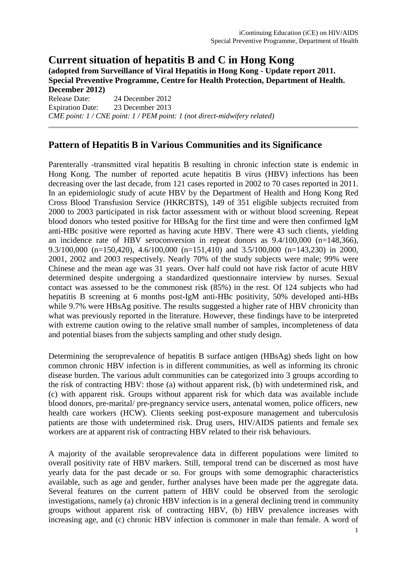## **Current situation of hepatitis B and C in Hong Kong**

**(adopted from Surveillance of Viral Hepatitis in Hong Kong - Update report 2011. Special Preventive Programme, Centre for Health Protection, Department of Health. December 2012)**

Release Date: 24 December 2012 Expiration Date: 23 December 2013 *CME point: 1 / CNE point: 1 / PEM point: 1 (not direct-midwifery related)*

#### **Pattern of Hepatitis B in Various Communities and its Significance**

Parenterally -transmitted viral hepatitis B resulting in chronic infection state is endemic in Hong Kong. The number of reported acute hepatitis B virus (HBV) infections has been decreasing over the last decade, from 121 cases reported in 2002 to 70 cases reported in 2011. In an epidemiologic study of acute HBV by the Department of Health and Hong Kong Red Cross Blood Transfusion Service (HKRCBTS), 149 of 351 eligible subjects recruited from 2000 to 2003 participated in risk factor assessment with or without blood screening. Repeat blood donors who tested positive for HBsAg for the first time and were then confirmed IgM anti-HBc positive were reported as having acute HBV. There were 43 such clients, yielding an incidence rate of HBV seroconversion in repeat donors as 9.4/100,000 (n=148,366), 9.3/100,000 (n=150,420), 4.6/100,000 (n=151,410) and 3.5/100,000 (n=143,230) in 2000, 2001, 2002 and 2003 respectively. Nearly 70% of the study subjects were male; 99% were Chinese and the mean age was 31 years. Over half could not have risk factor of acute HBV determined despite undergoing a standardized questionnaire interview by nurses. Sexual contact was assessed to be the commonest risk (85%) in the rest. Of 124 subjects who had hepatitis B screening at 6 months post-IgM anti-HBc positivity, 50% developed anti-HBs while 9.7% were HBsAg positive. The results suggested a higher rate of HBV chronicity than what was previously reported in the literature. However, these findings have to be interpreted with extreme caution owing to the relative small number of samples, incompleteness of data and potential biases from the subjects sampling and other study design.

Determining the seroprevalence of hepatitis B surface antigen (HBsAg) sheds light on how common chronic HBV infection is in different communities, as well as informing its chronic disease burden. The various adult communities can be categorized into 3 groups according to the risk of contracting HBV: those (a) without apparent risk, (b) with undetermined risk, and (c) with apparent risk. Groups without apparent risk for which data was available include blood donors, pre-marital/ pre-pregnancy service users, antenatal women, police officers, new health care workers (HCW). Clients seeking post-exposure management and tuberculosis patients are those with undetermined risk. Drug users, HIV/AIDS patients and female sex workers are at apparent risk of contracting HBV related to their risk behaviours.

A majority of the available seroprevalence data in different populations were limited to overall positivity rate of HBV markers. Still, temporal trend can be discerned as most have yearly data for the past decade or so. For groups with some demographic characteristics available, such as age and gender, further analyses have been made per the aggregate data. Several features on the current pattern of HBV could be observed from the serologic investigations, namely (a) chronic HBV infection is in a general declining trend in community groups without apparent risk of contracting HBV, (b) HBV prevalence increases with increasing age, and (c) chronic HBV infection is commoner in male than female. A word of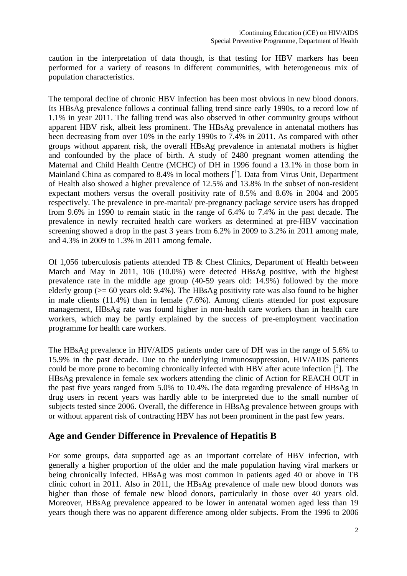caution in the interpretation of data though, is that testing for HBV markers has been performed for a variety of reasons in different communities, with heterogeneous mix of population characteristics.

The temporal decline of chronic HBV infection has been most obvious in new blood donors. Its HBsAg prevalence follows a continual falling trend since early 1990s, to a record low of 1.1% in year 2011. The falling trend was also observed in other community groups without apparent HBV risk, albeit less prominent. The HBsAg prevalence in antenatal mothers has been decreasing from over 10% in the early 1990s to 7.4% in 2011. As compared with other groups without apparent risk, the overall HBsAg prevalence in antenatal mothers is higher and confounded by the place of birth. A study of 2480 pregnant women attending the Maternal and Child Health Centre (MCHC) of DH in 1996 found a 13.1% in those born in Mainland China as compared to 8.4% in local mothers  $[1]$ . Data from Virus Unit, Department of Health also showed a higher prevalence of 12.5% and 13.8% in the subset of non-resident expectant mothers versus the overall positivity rate of 8.5% and 8.6% in 2004 and 2005 respectively. The prevalence in pre-marital/ pre-pregnancy package service users has dropped from 9.6% in 1990 to remain static in the range of 6.4% to 7.4% in the past decade. The prevalence in newly recruited health care workers as determined at pre-HBV vaccination screening showed a drop in the past 3 years from 6.2% in 2009 to 3.2% in 2011 among male, and 4.3% in 2009 to 1.3% in 2011 among female.

Of 1,056 tuberculosis patients attended TB & Chest Clinics, Department of Health between March and May in 2011, 106 (10.0%) were detected HBsAg positive, with the highest prevalence rate in the middle age group (40-59 years old: 14.9%) followed by the more elderly group ( $> = 60$  years old: 9.4%). The HBsAg positivity rate was also found to be higher in male clients (11.4%) than in female (7.6%). Among clients attended for post exposure management, HBsAg rate was found higher in non-health care workers than in health care workers, which may be partly explained by the success of pre-employment vaccination programme for health care workers.

The HBsAg prevalence in HIV/AIDS patients under care of DH was in the range of 5.6% to 15.9% in the past decade. Due to the underlying immunosuppression, HIV/AIDS patients could be more prone to becoming chronically infected with HBV after acute infection  $\tilde{[}^2$ ]. The HBsAg prevalence in female sex workers attending the clinic of Action for REACH OUT in the past five years ranged from 5.0% to 10.4%.The data regarding prevalence of HBsAg in drug users in recent years was hardly able to be interpreted due to the small number of subjects tested since 2006. Overall, the difference in HBsAg prevalence between groups with or without apparent risk of contracting HBV has not been prominent in the past few years.

#### **Age and Gender Difference in Prevalence of Hepatitis B**

For some groups, data supported age as an important correlate of HBV infection, with generally a higher proportion of the older and the male population having viral markers or being chronically infected. HBsAg was most common in patients aged 40 or above in TB clinic cohort in 2011. Also in 2011, the HBsAg prevalence of male new blood donors was higher than those of female new blood donors, particularly in those over 40 years old. Moreover, HBsAg prevalence appeared to be lower in antenatal women aged less than 19 years though there was no apparent difference among older subjects. From the 1996 to 2006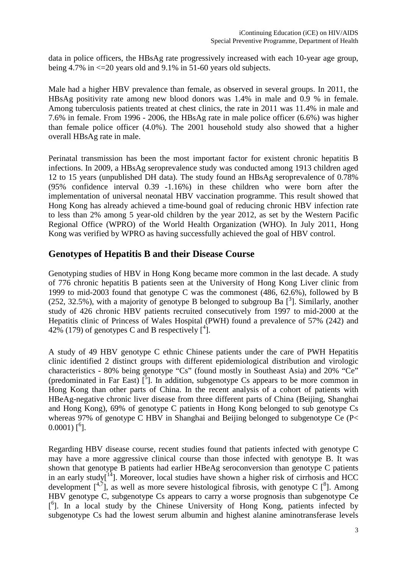data in police officers, the HBsAg rate progressively increased with each 10-year age group, being 4.7% in  $\leq$  20 years old and 9.1% in 51-60 years old subjects.

Male had a higher HBV prevalence than female, as observed in several groups. In 2011, the HBsAg positivity rate among new blood donors was 1.4% in male and 0.9 % in female. Among tuberculosis patients treated at chest clinics, the rate in 2011 was 11.4% in male and 7.6% in female. From 1996 - 2006, the HBsAg rate in male police officer (6.6%) was higher than female police officer (4.0%). The 2001 household study also showed that a higher overall HBsAg rate in male.

Perinatal transmission has been the most important factor for existent chronic hepatitis B infections. In 2009, a HBsAg seroprevalence study was conducted among 1913 children aged 12 to 15 years (unpublished DH data). The study found an HBsAg seroprevalence of 0.78% (95% confidence interval 0.39 -1.16%) in these children who were born after the implementation of universal neonatal HBV vaccination programme. This result showed that Hong Kong has already achieved a time-bound goal of reducing chronic HBV infection rate to less than 2% among 5 year-old children by the year 2012, as set by the Western Pacific Regional Office (WPRO) of the World Health Organization (WHO). In July 2011, Hong Kong was verified by WPRO as having successfully achieved the goal of HBV control.

#### **Genotypes of Hepatitis B and their Disease Course**

Genotyping studies of HBV in Hong Kong became more common in the last decade. A study of 776 chronic hepatitis B patients seen at the University of Hong Kong Liver clinic from 1999 to mid-2003 found that genotype C was the commonest (486, 62.6%), followed by B  $(252, 32.5%)$ , with a majority of genotype B belonged to subgroup Ba  $[^3]$ . Similarly, another study of 426 chronic HBV patients recruited consecutively from 1997 to mid-2000 at the Hepatitis clinic of Princess of Wales Hospital (PWH) found a prevalence of 57% (242) and 42% (179) of genotypes C and B respectively  $\binom{4}{1}$ .

A study of 49 HBV genotype C ethnic Chinese patients under the care of PWH Hepatitis clinic identified 2 distinct groups with different epidemiological distribution and virologic characteristics - 80% being genotype "Cs" (found mostly in Southeast Asia) and 20% "Ce" (predominated in Far East)  $\left[\begin{matrix} 5 \end{matrix}\right]$ . In addition, subgenotype Cs appears to be more common in Hong Kong than other parts of China. In the recent analysis of a cohort of patients with HBeAg-negative chronic liver disease from three different parts of China (Beijing, Shanghai and Hong Kong), 69% of genotype C patients in Hong Kong belonged to sub genotype Cs whereas 97% of genotype C HBV in Shanghai and Beijing belonged to subgenotype Ce (P<  $0.0001$ )  $[^{6}$ ].

Regarding HBV disease course, recent studies found that patients infected with genotype C may have a more aggressive clinical course than those infected with genotype B. It was shown that genotype B patients had earlier HBeAg seroconversion than genotype C patients in an early study $\left[1^{14}\right]$ . Moreover, local studies have shown a higher risk of cirrhosis and HCC development  $[4, 7]$ , as well as more severe histological fibrosis, with genotype C  $[8]$ . Among HBV genotype C, subgenotype Cs appears to carry a worse prognosis than subgenotype Ce [<sup>6</sup>]. In a local study by the Chinese University of Hong Kong, patients infected by subgenotype Cs had the lowest serum albumin and highest alanine aminotransferase levels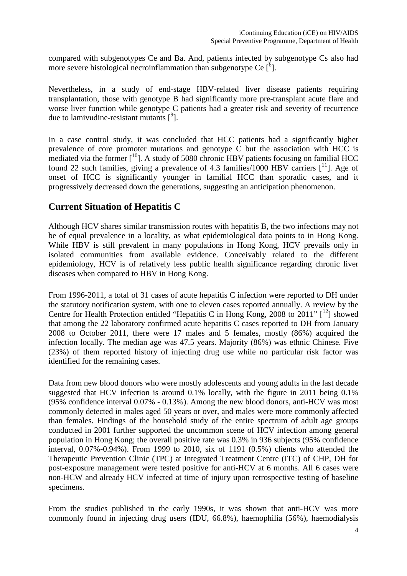compared with subgenotypes Ce and Ba. And, patients infected by subgenotype Cs also had more severe histological necroinflammation than subgenotype Ce  $\left[\right]$ <sup>6</sup>].

Nevertheless, in a study of end-stage HBV-related liver disease patients requiring transplantation, those with genotype B had significantly more pre-transplant acute flare and worse liver function while genotype C patients had a greater risk and severity of recurrence due to lamivudine-resistant mutants  $[^9]$ .

In a case control study, it was concluded that HCC patients had a significantly higher prevalence of core promoter mutations and genotype C but the association with HCC is mediated via the former  $\lceil^{10}\rceil$ . A study of 5080 chronic HBV patients focusing on familial HCC found 22 such families, giving a prevalence of 4.3 families/1000 HBV carriers  $\lceil$ <sup>11</sup>. Age of onset of HCC is significantly younger in familial HCC than sporadic cases, and it progressively decreased down the generations, suggesting an anticipation phenomenon.

#### **Current Situation of Hepatitis C**

Although HCV shares similar transmission routes with hepatitis B, the two infections may not be of equal prevalence in a locality, as what epidemiological data points to in Hong Kong. While HBV is still prevalent in many populations in Hong Kong, HCV prevails only in isolated communities from available evidence. Conceivably related to the different epidemiology, HCV is of relatively less public health significance regarding chronic liver diseases when compared to HBV in Hong Kong.

From 1996-2011, a total of 31 cases of acute hepatitis C infection were reported to DH under the statutory notification system, with one to eleven cases reported annually. A review by the Centre for Health Protection entitled "Hepatitis C in Hong Kong, 2008 to 2011"  $[1^2]$  showed that among the 22 laboratory confirmed acute hepatitis C cases reported to DH from January 2008 to October 2011, there were 17 males and 5 females, mostly (86%) acquired the infection locally. The median age was 47.5 years. Majority (86%) was ethnic Chinese. Five (23%) of them reported history of injecting drug use while no particular risk factor was identified for the remaining cases.

Data from new blood donors who were mostly adolescents and young adults in the last decade suggested that HCV infection is around 0.1% locally, with the figure in 2011 being 0.1% (95% confidence interval 0.07% - 0.13%). Among the new blood donors, anti-HCV was most commonly detected in males aged 50 years or over, and males were more commonly affected than females. Findings of the household study of the entire spectrum of adult age groups conducted in 2001 further supported the uncommon scene of HCV infection among general population in Hong Kong; the overall positive rate was 0.3% in 936 subjects (95% confidence interval, 0.07%-0.94%). From 1999 to 2010, six of 1191 (0.5%) clients who attended the Therapeutic Prevention Clinic (TPC) at Integrated Treatment Centre (ITC) of CHP, DH for post-exposure management were tested positive for anti-HCV at 6 months. All 6 cases were non-HCW and already HCV infected at time of injury upon retrospective testing of baseline specimens.

From the studies published in the early 1990s, it was shown that anti-HCV was more commonly found in injecting drug users (IDU, 66.8%), haemophilia (56%), haemodialysis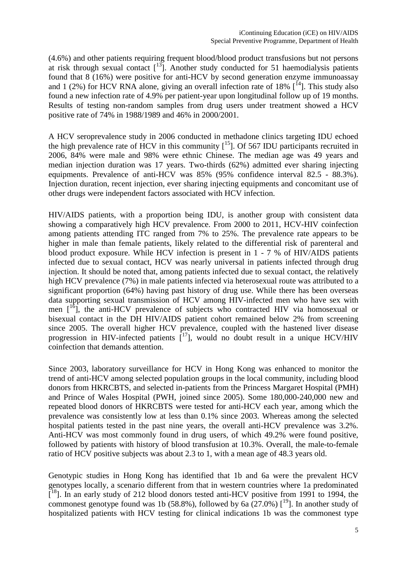(4.6%) and other patients requiring frequent blood/blood product transfusions but not persons at risk through sexual contact  $\begin{bmatrix} 13 \end{bmatrix}$ . Another study conducted for 51 haemodialysis patients found that 8 (16%) were positive for anti-HCV by second generation enzyme immunoassay and 1 (2%) for HCV RNA alone, giving an overall infection rate of 18%  $\lceil$ <sup>14</sup>]. This study also found a new infection rate of 4.9% per patient-year upon longitudinal follow up of 19 months. Results of testing non-random samples from drug users under treatment showed a HCV positive rate of 74% in 1988/1989 and 46% in 2000/2001.

A HCV seroprevalence study in 2006 conducted in methadone clinics targeting IDU echoed the high prevalence rate of HCV in this community  $\binom{15}{1}$ . Of 567 IDU participants recruited in 2006, 84% were male and 98% were ethnic Chinese. The median age was 49 years and median injection duration was 17 years. Two-thirds (62%) admitted ever sharing injecting equipments. Prevalence of anti-HCV was 85% (95% confidence interval 82.5 - 88.3%). Injection duration, recent injection, ever sharing injecting equipments and concomitant use of other drugs were independent factors associated with HCV infection.

HIV/AIDS patients, with a proportion being IDU, is another group with consistent data showing a comparatively high HCV prevalence. From 2000 to 2011, HCV-HIV coinfection among patients attending ITC ranged from 7% to 25%. The prevalence rate appears to be higher in male than female patients, likely related to the differential risk of parenteral and blood product exposure. While HCV infection is present in 1 - 7 % of HIV/AIDS patients infected due to sexual contact, HCV was nearly universal in patients infected through drug injection. It should be noted that, among patients infected due to sexual contact, the relatively high HCV prevalence (7%) in male patients infected via heterosexual route was attributed to a significant proportion (64%) having past history of drug use. While there has been overseas data supporting sexual transmission of HCV among HIV-infected men who have sex with men  $\int_0^{16}$ , the anti-HCV prevalence of subjects who contracted HIV via homosexual or bisexual contact in the DH HIV/AIDS patient cohort remained below 2% from screening since 2005. The overall higher HCV prevalence, coupled with the hastened liver disease progression in HIV-infected patients  $\int_1^{17}$ , would no doubt result in a unique HCV/HIV coinfection that demands attention.

Since 2003, laboratory surveillance for HCV in Hong Kong was enhanced to monitor the trend of anti-HCV among selected population groups in the local community, including blood donors from HKRCBTS, and selected in-patients from the Princess Margaret Hospital (PMH) and Prince of Wales Hospital (PWH, joined since 2005). Some 180,000-240,000 new and repeated blood donors of HKRCBTS were tested for anti-HCV each year, among which the prevalence was consistently low at less than 0.1% since 2003. Whereas among the selected hospital patients tested in the past nine years, the overall anti-HCV prevalence was 3.2%. Anti-HCV was most commonly found in drug users, of which 49.2% were found positive, followed by patients with history of blood transfusion at 10.3%. Overall, the male-to-female ratio of HCV positive subjects was about 2.3 to 1, with a mean age of 48.3 years old.

Genotypic studies in Hong Kong has identified that 1b and 6a were the prevalent HCV genotypes locally, a scenario different from that in western countries where 1a predominated [<sup>18</sup>]. In an early study of 212 blood donors tested anti-HCV positive from 1991 to 1994, the commonest genotype found was 1b (58.8%), followed by 6a (27.0%)  $[19]$ . In another study of hospitalized patients with HCV testing for clinical indications 1b was the commonest type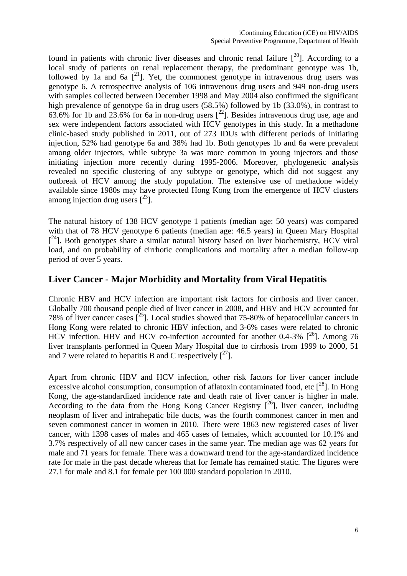found in patients with chronic liver diseases and chronic renal failure  $\int_{0}^{20}$ . According to a local study of patients on renal replacement therapy, the predominant genotype was 1b, followed by 1a and 6a  $\lceil^{21} \rceil$ . Yet, the commonest genotype in intravenous drug users was genotype 6. A retrospective analysis of 106 intravenous drug users and 949 non-drug users with samples collected between December 1998 and May 2004 also confirmed the significant high prevalence of genotype 6a in drug users  $(58.5\%)$  followed by 1b  $(33.0\%)$ , in contrast to 63.6% for 1b and 23.6% for 6a in non-drug users  $[^{22}]$ . Besides intravenous drug use, age and sex were independent factors associated with HCV genotypes in this study. In a methadone clinic-based study published in 2011, out of 273 IDUs with different periods of initiating injection, 52% had genotype 6a and 38% had 1b. Both genotypes 1b and 6a were prevalent among older injectors, while subtype 3a was more common in young injectors and those initiating injection more recently during 1995-2006. Moreover, phylogenetic analysis revealed no specific clustering of any subtype or genotype, which did not suggest any outbreak of HCV among the study population. The extensive use of methadone widely available since 1980s may have protected Hong Kong from the emergence of HCV clusters among injection drug users  $[<sup>23</sup>]$ .

The natural history of 138 HCV genotype 1 patients (median age: 50 years) was compared with that of 78 HCV genotype 6 patients (median age: 46.5 years) in Queen Mary Hospital [<sup>24</sup>]. Both genotypes share a similar natural history based on liver biochemistry, HCV viral load, and on probability of cirrhotic complications and mortality after a median follow-up period of over 5 years.

### **Liver Cancer - Major Morbidity and Mortality from Viral Hepatitis**

Chronic HBV and HCV infection are important risk factors for cirrhosis and liver cancer. Globally 700 thousand people died of liver cancer in 2008, and HBV and HCV accounted for 78% of liver cancer cases  $\int^{25}$ ]. Local studies showed that 75-80% of hepatocellular cancers in Hong Kong were related to chronic HBV infection, and 3-6% cases were related to chronic HCV infection. HBV and HCV co-infection accounted for another 0.4-3%  $[^{26}]$ . Among 76 liver transplants performed in Queen Mary Hospital due to cirrhosis from 1999 to 2000, 51 and 7 were related to hepatitis B and C respectively  $\lceil^{27} \rceil$ .

Apart from chronic HBV and HCV infection, other risk factors for liver cancer include excessive alcohol consumption, consumption of aflatoxin contaminated food, etc  $\int^{28}$ . In Hong Kong, the age-standardized incidence rate and death rate of liver cancer is higher in male. According to the data from the Hong Kong Cancer Registry  $[2^6]$ , liver cancer, including neoplasm of liver and intrahepatic bile ducts, was the fourth commonest cancer in men and seven commonest cancer in women in 2010. There were 1863 new registered cases of liver cancer, with 1398 cases of males and 465 cases of females, which accounted for 10.1% and 3.7% respectively of all new cancer cases in the same year. The median age was 62 years for male and 71 years for female. There was a downward trend for the age-standardized incidence rate for male in the past decade whereas that for female has remained static. The figures were 27.1 for male and 8.1 for female per 100 000 standard population in 2010.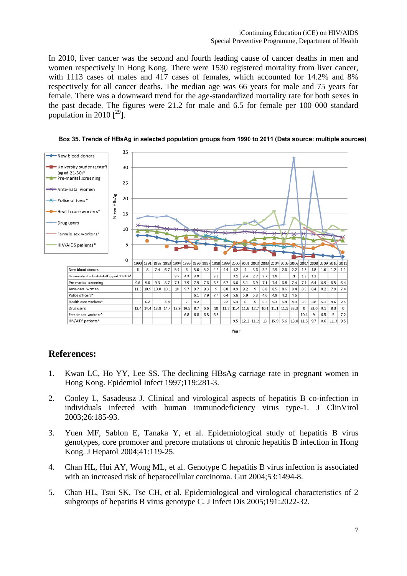In 2010, liver cancer was the second and fourth leading cause of cancer deaths in men and women respectively in Hong Kong. There were 1530 registered mortality from liver cancer, with 1113 cases of males and 417 cases of females, which accounted for 14.2% and 8% respectively for all cancer deaths. The median age was 66 years for male and 75 years for female. There was a downward trend for the age-standardized mortality rate for both sexes in the past decade. The figures were 21.2 for male and 6.5 for female per 100 000 standard population in 2010  $[{}^{29}]$ .

Box 35. Trends of HBsAg in selected population groups from 1990 to 2011 (Data source: multiple sources)



#### **References:**

- 1. Kwan LC, Ho YY, Lee SS. The declining HBsAg carriage rate in pregnant women in Hong Kong. Epidemiol Infect 1997;119:281-3.
- 2. Cooley L, Sasadeusz J. Clinical and virological aspects of hepatitis B co-infection in individuals infected with human immunodeficiency virus type-1. J ClinVirol 2003;26:185-93.
- 3. Yuen MF, Sablon E, Tanaka Y, et al. Epidemiological study of hepatitis B virus genotypes, core promoter and precore mutations of chronic hepatitis B infection in Hong Kong. J Hepatol 2004;41:119-25.
- 4. Chan HL, Hui AY, Wong ML, et al. Genotype C hepatitis B virus infection is associated with an increased risk of hepatocellular carcinoma. Gut 2004;53:1494-8.
- 5. Chan HL, Tsui SK, Tse CH, et al. Epidemiological and virological characteristics of 2 subgroups of hepatitis B virus genotype C. J Infect Dis 2005;191:2022-32.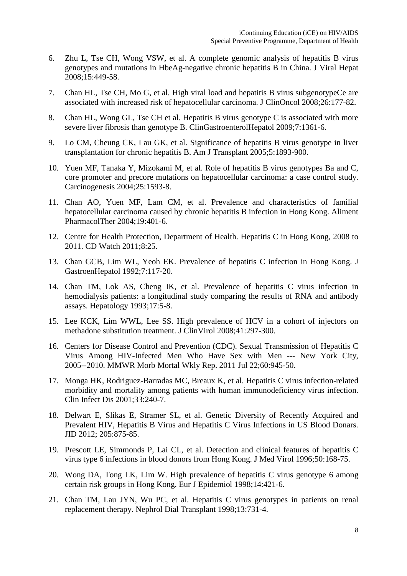- 6. Zhu L, Tse CH, Wong VSW, et al. A complete genomic analysis of hepatitis B virus genotypes and mutations in HbeAg-negative chronic hepatitis B in China. J Viral Hepat 2008;15:449-58.
- 7. Chan HL, Tse CH, Mo G, et al. High viral load and hepatitis B virus subgenotypeCe are associated with increased risk of hepatocellular carcinoma. J ClinOncol 2008;26:177-82.
- 8. Chan HL, Wong GL, Tse CH et al. Hepatitis B virus genotype C is associated with more severe liver fibrosis than genotype B. ClinGastroenterolHepatol 2009;7:1361-6.
- 9. Lo CM, Cheung CK, Lau GK, et al. Significance of hepatitis B virus genotype in liver transplantation for chronic hepatitis B. Am J Transplant 2005;5:1893-900.
- 10. Yuen MF, Tanaka Y, Mizokami M, et al. Role of hepatitis B virus genotypes Ba and C, core promoter and precore mutations on hepatocellular carcinoma: a case control study. Carcinogenesis 2004;25:1593-8.
- 11. Chan AO, Yuen MF, Lam CM, et al. Prevalence and characteristics of familial hepatocellular carcinoma caused by chronic hepatitis B infection in Hong Kong. Aliment PharmacolTher 2004;19:401-6.
- 12. Centre for Health Protection, Department of Health. Hepatitis C in Hong Kong, 2008 to 2011. CD Watch 2011;8:25.
- 13. Chan GCB, Lim WL, Yeoh EK. Prevalence of hepatitis C infection in Hong Kong. J GastroenHepatol 1992;7:117-20.
- 14. Chan TM, Lok AS, Cheng IK, et al. Prevalence of hepatitis C virus infection in hemodialysis patients: a longitudinal study comparing the results of RNA and antibody assays. Hepatology 1993;17:5-8.
- 15. Lee KCK, Lim WWL, Lee SS. High prevalence of HCV in a cohort of injectors on methadone substitution treatment. J ClinVirol 2008;41:297-300.
- 16. Centers for Disease Control and Prevention (CDC). Sexual Transmission of Hepatitis C Virus Among HIV-Infected Men Who Have Sex with Men --- New York City, 2005--2010. MMWR Morb Mortal Wkly Rep. 2011 Jul 22;60:945-50.
- 17. Monga HK, Rodriguez-Barradas MC, Breaux K, et al. Hepatitis C virus infection-related morbidity and mortality among patients with human immunodeficiency virus infection. Clin Infect Dis 2001;33:240-7.
- 18. Delwart E, Slikas E, Stramer SL, et al. Genetic Diversity of Recently Acquired and Prevalent HIV, Hepatitis B Virus and Hepatitis C Virus Infections in US Blood Donars. JID 2012; 205:875-85.
- 19. Prescott LE, Simmonds P, Lai CL, et al. Detection and clinical features of hepatitis C virus type 6 infections in blood donors from Hong Kong. J Med Virol 1996;50:168-75.
- 20. Wong DA, Tong LK, Lim W. High prevalence of hepatitis C virus genotype 6 among certain risk groups in Hong Kong. Eur J Epidemiol 1998;14:421-6.
- 21. Chan TM, Lau JYN, Wu PC, et al. Hepatitis C virus genotypes in patients on renal replacement therapy. Nephrol Dial Transplant 1998;13:731-4.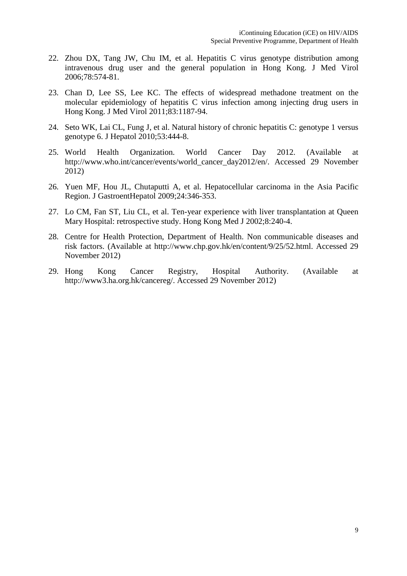- 22. Zhou DX, Tang JW, Chu IM, et al. Hepatitis C virus genotype distribution among intravenous drug user and the general population in Hong Kong. J Med Virol 2006;78:574-81.
- 23. Chan D, Lee SS, Lee KC. The effects of widespread methadone treatment on the molecular epidemiology of hepatitis C virus infection among injecting drug users in Hong Kong. J Med Virol 2011;83:1187-94.
- 24. Seto WK, Lai CL, Fung J, et al. Natural history of chronic hepatitis C: genotype 1 versus genotype 6. J Hepatol 2010;53:444-8.
- 25. World Health Organization. World Cancer Day 2012. (Available at http://www.who.int/cancer/events/world\_cancer\_day2012/en/. Accessed 29 November 2012)
- 26. Yuen MF, Hou JL, Chutaputti A, et al. Hepatocellular carcinoma in the Asia Pacific Region. J GastroentHepatol 2009;24:346-353.
- 27. Lo CM, Fan ST, Liu CL, et al. Ten-year experience with liver transplantation at Queen Mary Hospital: retrospective study. Hong Kong Med J 2002;8:240-4.
- 28. Centre for Health Protection, Department of Health. Non communicable diseases and risk factors. (Available at http://www.chp.gov.hk/en/content/9/25/52.html. Accessed 29 November 2012)
- 29. Hong Kong Cancer Registry, Hospital Authority. (Available at http://www3.ha.org.hk/cancereg/. Accessed 29 November 2012)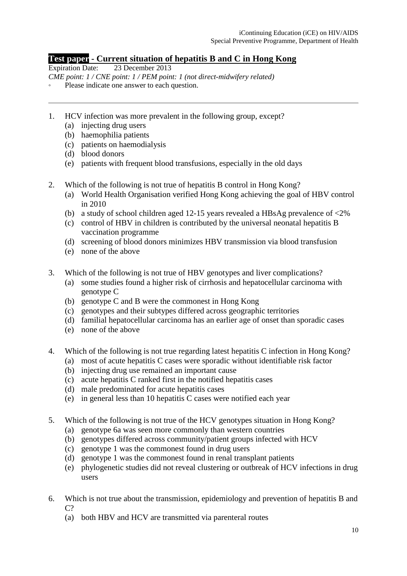# **Test paper - Current situation of hepatitis B and C in Hong Kong**<br>Expiration Date: 23 December 2013

23 December 2013

*CME point: 1 / CNE point: 1 / PEM point: 1 (not direct-midwifery related)*

- Please indicate one answer to each question.
- 1. HCV infection was more prevalent in the following group, except?
	- (a) injecting drug users
	- (b) haemophilia patients
	- (c) patients on haemodialysis
	- (d) blood donors
	- (e) patients with frequent blood transfusions, especially in the old days
- 2. Which of the following is not true of hepatitis B control in Hong Kong?
	- (a) World Health Organisation verified Hong Kong achieving the goal of HBV control in 2010
	- (b) a study of school children aged 12-15 years revealed a HBsAg prevalence of <2%
	- (c) control of HBV in children is contributed by the universal neonatal hepatitis B vaccination programme
	- (d) screening of blood donors minimizes HBV transmission via blood transfusion
	- (e) none of the above
- 3. Which of the following is not true of HBV genotypes and liver complications?
	- (a) some studies found a higher risk of cirrhosis and hepatocellular carcinoma with genotype C
	- (b) genotype C and B were the commonest in Hong Kong
	- (c) genotypes and their subtypes differed across geographic territories
	- (d) familial hepatocellular carcinoma has an earlier age of onset than sporadic cases
	- (e) none of the above
- 4. Which of the following is not true regarding latest hepatitis C infection in Hong Kong?
	- (a) most of acute hepatitis C cases were sporadic without identifiable risk factor
	- (b) injecting drug use remained an important cause
	- (c) acute hepatitis C ranked first in the notified hepatitis cases
	- (d) male predominated for acute hepatitis cases
	- (e) in general less than 10 hepatitis C cases were notified each year
- 5. Which of the following is not true of the HCV genotypes situation in Hong Kong?
	- (a) genotype 6a was seen more commonly than western countries
	- (b) genotypes differed across community/patient groups infected with HCV
	- (c) genotype 1 was the commonest found in drug users
	- (d) genotype 1 was the commonest found in renal transplant patients
	- (e) phylogenetic studies did not reveal clustering or outbreak of HCV infections in drug users
- 6. Which is not true about the transmission, epidemiology and prevention of hepatitis B and  $C<sup>2</sup>$ 
	- (a) both HBV and HCV are transmitted via parenteral routes